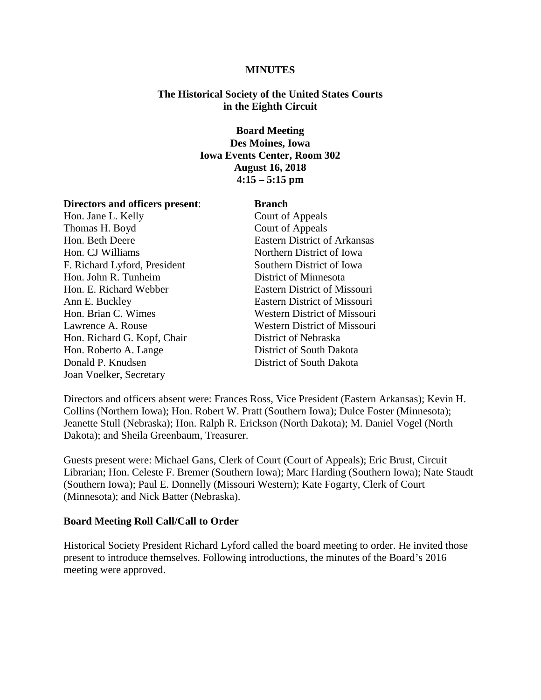#### **MINUTES**

### **The Historical Society of the United States Courts in the Eighth Circuit**

## **Board Meeting Des Moines, Iowa Iowa Events Center, Room 302 August 16, 2018 4:15 – 5:15 pm**

#### **Directors and officers present**: **Branch**

Hon. Jane L. Kelly Court of Appeals Thomas H. Boyd Court of Appeals Hon. Beth Deere Eastern District of Arkansas Hon. CJ Williams Northern District of Iowa F. Richard Lyford, President Southern District of Iowa Hon. John R. Tunheim District of Minnesota Hon. E. Richard Webber Eastern District of Missouri Ann E. Buckley Eastern District of Missouri Hon. Brian C. Wimes Western District of Missouri Lawrence A. Rouse Western District of Missouri Hon. Richard G. Kopf, Chair District of Nebraska Hon. Roberto A. Lange District of South Dakota Donald P. Knudsen District of South Dakota Joan Voelker, Secretary

Directors and officers absent were: Frances Ross, Vice President (Eastern Arkansas); Kevin H. Collins (Northern Iowa); Hon. Robert W. Pratt (Southern Iowa); Dulce Foster (Minnesota); Jeanette Stull (Nebraska); Hon. Ralph R. Erickson (North Dakota); M. Daniel Vogel (North Dakota); and Sheila Greenbaum, Treasurer.

Guests present were: Michael Gans, Clerk of Court (Court of Appeals); Eric Brust, Circuit Librarian; Hon. Celeste F. Bremer (Southern Iowa); Marc Harding (Southern Iowa); Nate Staudt (Southern Iowa); Paul E. Donnelly (Missouri Western); Kate Fogarty, Clerk of Court (Minnesota); and Nick Batter (Nebraska).

### **Board Meeting Roll Call/Call to Order**

Historical Society President Richard Lyford called the board meeting to order. He invited those present to introduce themselves. Following introductions, the minutes of the Board's 2016 meeting were approved.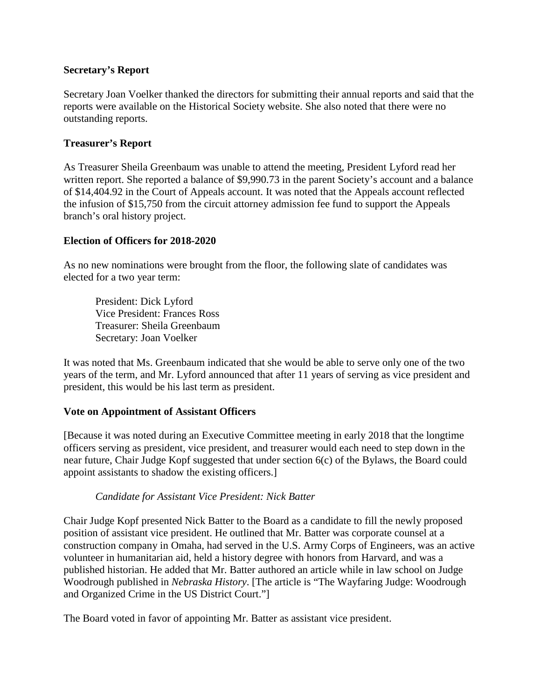## **Secretary's Report**

Secretary Joan Voelker thanked the directors for submitting their annual reports and said that the reports were available on the Historical Society website. She also noted that there were no outstanding reports.

# **Treasurer's Report**

As Treasurer Sheila Greenbaum was unable to attend the meeting, President Lyford read her written report. She reported a balance of \$9,990.73 in the parent Society's account and a balance of \$14,404.92 in the Court of Appeals account. It was noted that the Appeals account reflected the infusion of \$15,750 from the circuit attorney admission fee fund to support the Appeals branch's oral history project.

## **Election of Officers for 2018-2020**

As no new nominations were brought from the floor, the following slate of candidates was elected for a two year term:

President: Dick Lyford Vice President: Frances Ross Treasurer: Sheila Greenbaum Secretary: Joan Voelker

It was noted that Ms. Greenbaum indicated that she would be able to serve only one of the two years of the term, and Mr. Lyford announced that after 11 years of serving as vice president and president, this would be his last term as president.

### **Vote on Appointment of Assistant Officers**

[Because it was noted during an Executive Committee meeting in early 2018 that the longtime officers serving as president, vice president, and treasurer would each need to step down in the near future, Chair Judge Kopf suggested that under section 6(c) of the Bylaws, the Board could appoint assistants to shadow the existing officers.]

### *Candidate for Assistant Vice President: Nick Batter*

Chair Judge Kopf presented Nick Batter to the Board as a candidate to fill the newly proposed position of assistant vice president. He outlined that Mr. Batter was corporate counsel at a construction company in Omaha, had served in the U.S. Army Corps of Engineers, was an active volunteer in humanitarian aid, held a history degree with honors from Harvard, and was a published historian. He added that Mr. Batter authored an article while in law school on Judge Woodrough published in *Nebraska History*. [The article is "The Wayfaring Judge: Woodrough and Organized Crime in the US District Court."]

The Board voted in favor of appointing Mr. Batter as assistant vice president.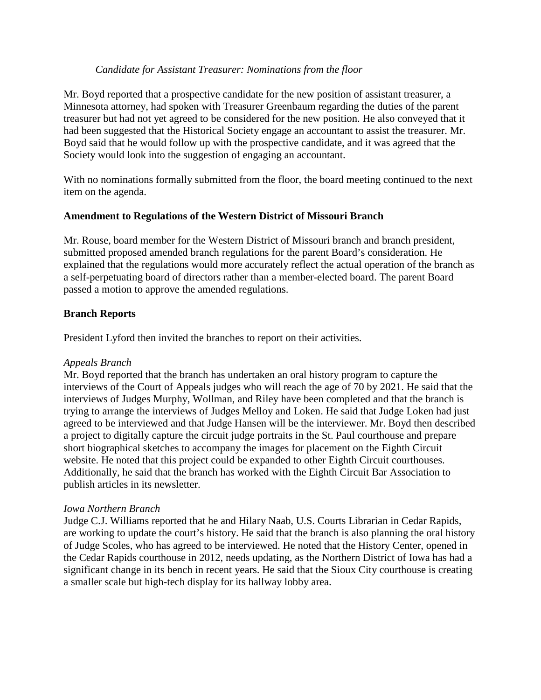### *Candidate for Assistant Treasurer: Nominations from the floor*

Mr. Boyd reported that a prospective candidate for the new position of assistant treasurer, a Minnesota attorney, had spoken with Treasurer Greenbaum regarding the duties of the parent treasurer but had not yet agreed to be considered for the new position. He also conveyed that it had been suggested that the Historical Society engage an accountant to assist the treasurer. Mr. Boyd said that he would follow up with the prospective candidate, and it was agreed that the Society would look into the suggestion of engaging an accountant.

With no nominations formally submitted from the floor, the board meeting continued to the next item on the agenda.

## **Amendment to Regulations of the Western District of Missouri Branch**

Mr. Rouse, board member for the Western District of Missouri branch and branch president, submitted proposed amended branch regulations for the parent Board's consideration. He explained that the regulations would more accurately reflect the actual operation of the branch as a self-perpetuating board of directors rather than a member-elected board. The parent Board passed a motion to approve the amended regulations.

## **Branch Reports**

President Lyford then invited the branches to report on their activities.

### *Appeals Branch*

Mr. Boyd reported that the branch has undertaken an oral history program to capture the interviews of the Court of Appeals judges who will reach the age of 70 by 2021. He said that the interviews of Judges Murphy, Wollman, and Riley have been completed and that the branch is trying to arrange the interviews of Judges Melloy and Loken. He said that Judge Loken had just agreed to be interviewed and that Judge Hansen will be the interviewer. Mr. Boyd then described a project to digitally capture the circuit judge portraits in the St. Paul courthouse and prepare short biographical sketches to accompany the images for placement on the Eighth Circuit website. He noted that this project could be expanded to other Eighth Circuit courthouses. Additionally, he said that the branch has worked with the Eighth Circuit Bar Association to publish articles in its newsletter.

### *Iowa Northern Branch*

Judge C.J. Williams reported that he and Hilary Naab, U.S. Courts Librarian in Cedar Rapids, are working to update the court's history. He said that the branch is also planning the oral history of Judge Scoles, who has agreed to be interviewed. He noted that the History Center, opened in the Cedar Rapids courthouse in 2012, needs updating, as the Northern District of Iowa has had a significant change in its bench in recent years. He said that the Sioux City courthouse is creating a smaller scale but high-tech display for its hallway lobby area.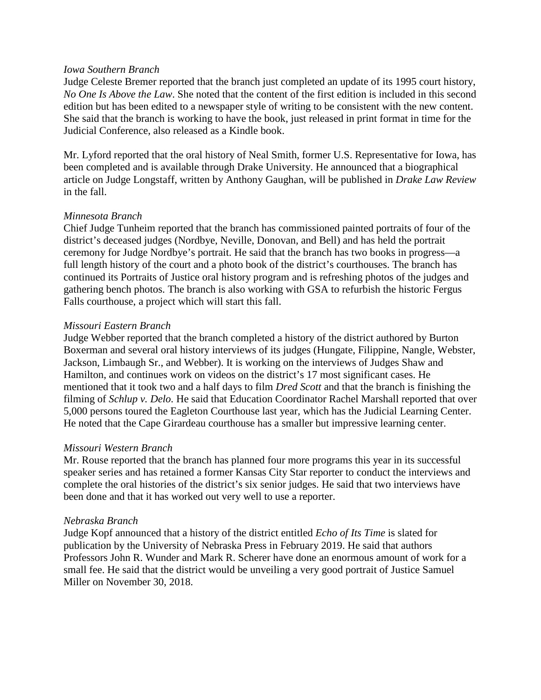#### *Iowa Southern Branch*

Judge Celeste Bremer reported that the branch just completed an update of its 1995 court history, *No One Is Above the Law*. She noted that the content of the first edition is included in this second edition but has been edited to a newspaper style of writing to be consistent with the new content. She said that the branch is working to have the book, just released in print format in time for the Judicial Conference, also released as a Kindle book.

Mr. Lyford reported that the oral history of Neal Smith, former U.S. Representative for Iowa, has been completed and is available through Drake University. He announced that a biographical article on Judge Longstaff, written by Anthony Gaughan, will be published in *Drake Law Review* in the fall.

#### *Minnesota Branch*

Chief Judge Tunheim reported that the branch has commissioned painted portraits of four of the district's deceased judges (Nordbye, Neville, Donovan, and Bell) and has held the portrait ceremony for Judge Nordbye's portrait. He said that the branch has two books in progress—a full length history of the court and a photo book of the district's courthouses. The branch has continued its Portraits of Justice oral history program and is refreshing photos of the judges and gathering bench photos. The branch is also working with GSA to refurbish the historic Fergus Falls courthouse, a project which will start this fall.

### *Missouri Eastern Branch*

Judge Webber reported that the branch completed a history of the district authored by Burton Boxerman and several oral history interviews of its judges (Hungate, Filippine, Nangle, Webster, Jackson, Limbaugh Sr., and Webber). It is working on the interviews of Judges Shaw and Hamilton, and continues work on videos on the district's 17 most significant cases. He mentioned that it took two and a half days to film *Dred Scott* and that the branch is finishing the filming of *Schlup v. Delo.* He said that Education Coordinator Rachel Marshall reported that over 5,000 persons toured the Eagleton Courthouse last year, which has the Judicial Learning Center. He noted that the Cape Girardeau courthouse has a smaller but impressive learning center.

#### *Missouri Western Branch*

Mr. Rouse reported that the branch has planned four more programs this year in its successful speaker series and has retained a former Kansas City Star reporter to conduct the interviews and complete the oral histories of the district's six senior judges. He said that two interviews have been done and that it has worked out very well to use a reporter.

#### *Nebraska Branch*

Judge Kopf announced that a history of the district entitled *Echo of Its Time* is slated for publication by the University of Nebraska Press in February 2019. He said that authors Professors John R. Wunder and Mark R. Scherer have done an enormous amount of work for a small fee. He said that the district would be unveiling a very good portrait of Justice Samuel Miller on November 30, 2018.